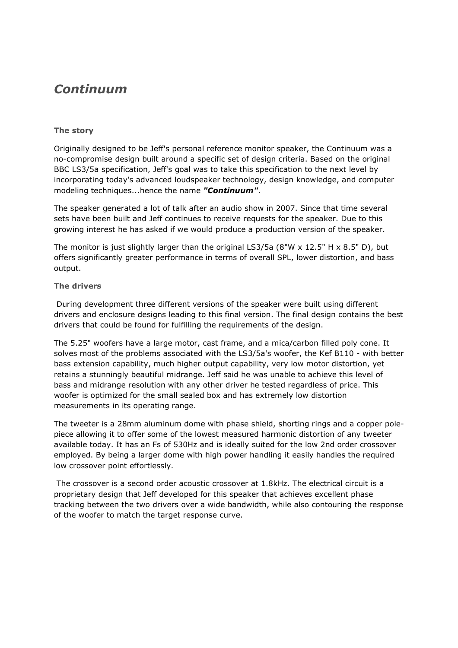## *Continuum*

## **The story**

Originally designed to be Jeff's personal reference monitor speaker, the Continuum was a no-compromise design built around a specific set of design criteria. Based on the original BBC LS3/5a specification, Jeff's goal was to take this specification to the next level by incorporating today's advanced loudspeaker technology, design knowledge, and computer modeling techniques...hence the name *"Continuum"*.

The speaker generated a lot of talk after an audio show in 2007. Since that time several sets have been built and Jeff continues to receive requests for the speaker. Due to this growing interest he has asked if we would produce a production version of the speaker.

The monitor is just slightly larger than the original LS3/5a (8"W  $\times$  12.5" H  $\times$  8.5" D), but offers significantly greater performance in terms of overall SPL, lower distortion, and bass output.

## **The drivers**

During development three different versions of the speaker were built using different drivers and enclosure designs leading to this final version. The final design contains the best drivers that could be found for fulfilling the requirements of the design.

The 5.25" woofers have a large motor, cast frame, and a mica/carbon filled poly cone. It solves most of the problems associated with the LS3/5a's woofer, the Kef B110 - with better bass extension capability, much higher output capability, very low motor distortion, yet retains a stunningly beautiful midrange. Jeff said he was unable to achieve this level of bass and midrange resolution with any other driver he tested regardless of price. This woofer is optimized for the small sealed box and has extremely low distortion measurements in its operating range.

The tweeter is a 28mm aluminum dome with phase shield, shorting rings and a copper polepiece allowing it to offer some of the lowest measured harmonic distortion of any tweeter available today. It has an Fs of 530Hz and is ideally suited for the low 2nd order crossover employed. By being a larger dome with high power handling it easily handles the required low crossover point effortlessly.

 The crossover is a second order acoustic crossover at 1.8kHz. The electrical circuit is a proprietary design that Jeff developed for this speaker that achieves excellent phase tracking between the two drivers over a wide bandwidth, while also contouring the response of the woofer to match the target response curve.